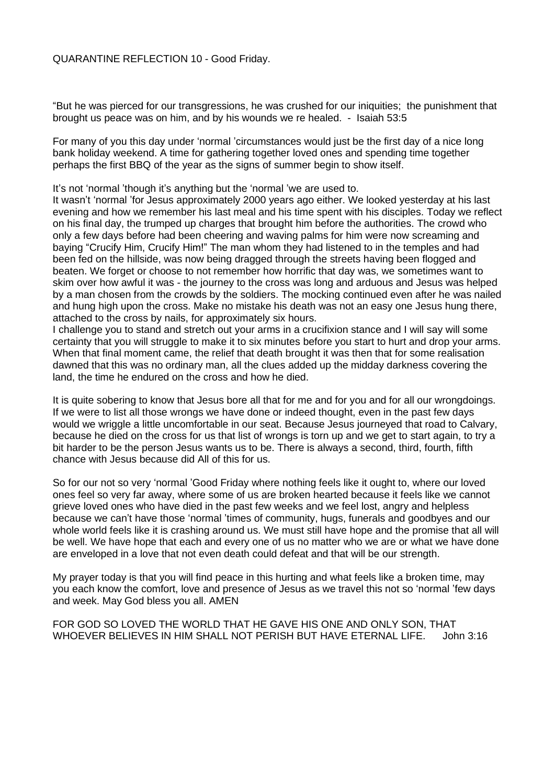## QUARANTINE REFLECTION 10 - Good Friday.

"But he was pierced for our transgressions, he was crushed for our iniquities; the punishment that brought us peace was on him, and by his wounds we re healed. - Isaiah 53:5

For many of you this day under 'normal 'circumstances would just be the first day of a nice long bank holiday weekend. A time for gathering together loved ones and spending time together perhaps the first BBQ of the year as the signs of summer begin to show itself.

It's not 'normal 'though it's anything but the 'normal 'we are used to.

It wasn't 'normal 'for Jesus approximately 2000 years ago either. We looked yesterday at his last evening and how we remember his last meal and his time spent with his disciples. Today we reflect on his final day, the trumped up charges that brought him before the authorities. The crowd who only a few days before had been cheering and waving palms for him were now screaming and baying "Crucify Him, Crucify Him!" The man whom they had listened to in the temples and had been fed on the hillside, was now being dragged through the streets having been flogged and beaten. We forget or choose to not remember how horrific that day was, we sometimes want to skim over how awful it was - the journey to the cross was long and arduous and Jesus was helped by a man chosen from the crowds by the soldiers. The mocking continued even after he was nailed and hung high upon the cross. Make no mistake his death was not an easy one Jesus hung there, attached to the cross by nails, for approximately six hours.

I challenge you to stand and stretch out your arms in a crucifixion stance and I will say will some certainty that you will struggle to make it to six minutes before you start to hurt and drop your arms. When that final moment came, the relief that death brought it was then that for some realisation dawned that this was no ordinary man, all the clues added up the midday darkness covering the land, the time he endured on the cross and how he died.

It is quite sobering to know that Jesus bore all that for me and for you and for all our wrongdoings. If we were to list all those wrongs we have done or indeed thought, even in the past few days would we wriggle a little uncomfortable in our seat. Because Jesus journeyed that road to Calvary, because he died on the cross for us that list of wrongs is torn up and we get to start again, to try a bit harder to be the person Jesus wants us to be. There is always a second, third, fourth, fifth chance with Jesus because did All of this for us.

So for our not so very 'normal 'Good Friday where nothing feels like it ought to, where our loved ones feel so very far away, where some of us are broken hearted because it feels like we cannot grieve loved ones who have died in the past few weeks and we feel lost, angry and helpless because we can't have those 'normal 'times of community, hugs, funerals and goodbyes and our whole world feels like it is crashing around us. We must still have hope and the promise that all will be well. We have hope that each and every one of us no matter who we are or what we have done are enveloped in a love that not even death could defeat and that will be our strength.

My prayer today is that you will find peace in this hurting and what feels like a broken time, may you each know the comfort, love and presence of Jesus as we travel this not so 'normal 'few days and week. May God bless you all. AMEN

FOR GOD SO LOVED THE WORLD THAT HE GAVE HIS ONE AND ONLY SON, THAT WHOEVER BELIEVES IN HIM SHALL NOT PERISH BUT HAVE ETERNAL LIFE. John 3:16